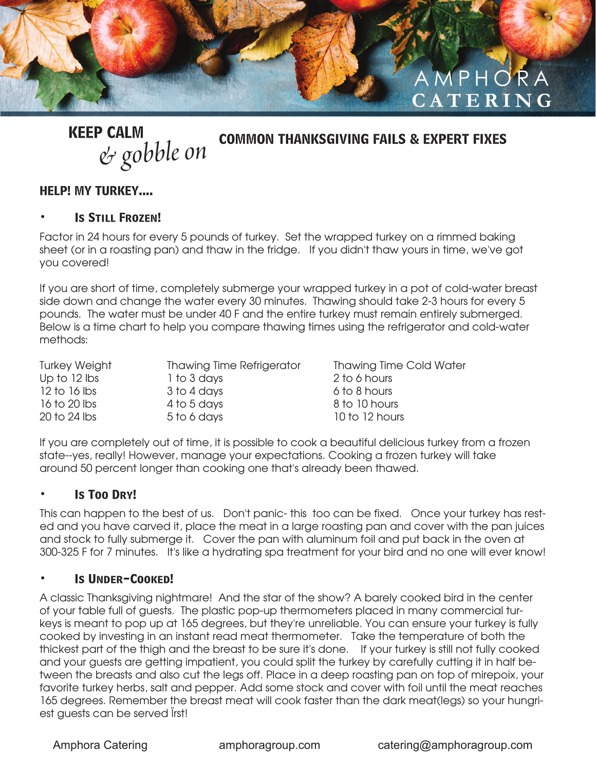

**KEEP CALM**

*& gobble on* **COMMON THANKSGIVING FAILS & EXPERT FIXES**

#### **HELP! MY TURKEY....**

#### **• Is Still Frozen!**

Factor in 24 hours for every 5 pounds of turkey. Set the wrapped turkey on a rimmed baking sheet (or in a roasting pan) and thaw in the fridge. If you didn't thaw yours in time, we've got you covered!

If you are short of time, completely submerge your wrapped turkey in a pot of cold-water breast side down and change the water every 30 minutes. Thawing should take 2-3 hours for every 5 pounds. The water must be under 40 F and the entire turkey must remain entirely submerged. Below is a time chart to help you compare thawing times using the refrigerator and cold-water methods:

Up to 12 lbs 1 to 3 days 2 to 6 hours 12 to 16 lbs 3 to 4 days 6 to 8 hours 16 to 20 lbs 4 to 5 days 8 to 10 hours 20 to 24 lbs 5 to 6 days 10 to 12 hours

Turkey Weight Thawing Time Refrigerator Thawing Time Cold Water

If you are completely out of time, it is possible to cook a beautiful delicious turkey from a frozen state--yes, really! However, manage your expectations. Cooking a frozen turkey will take around 50 percent longer than cooking one that's already been thawed.

#### **• Is Too Dry!**

This can happen to the best of us. Don't panic- this too can be fixed. Once your turkey has rested and you have carved it, place the meat in a large roasting pan and cover with the pan juices and stock to fully submerge it. Cover the pan with aluminum foil and put back in the oven at 300-325 F for 7 minutes. It's like a hydrating spa treatment for your bird and no one will ever know!

#### **• Is Under-Cooked!**

A classic Thanksgiving nightmare! And the star of the show? A barely cooked bird in the center of your table full of guests. The plastic pop-up thermometers placed in many commercial turkeys is meant to pop up at 165 degrees, but they're unreliable. You can ensure your turkey is fully cooked by investing in an instant read meat thermometer. Take the temperature of both the thickest part of the thigh and the breast to be sure it's done. If your turkey is still not fully cooked and your guests are getting impatient, you could split the turkey by carefully cutting it in half between the breasts and also cut the legs off. Place in a deep roasting pan on top of mirepoix, your favorite turkey herbs, salt and pepper. Add some stock and cover with foil until the meat reaches 165 degrees. Remember the breast meat will cook faster than the dark meat(legs) so your hungriest guests can be served lirst!

Amphora Catering amphoragroup.com catering@amphoragroup.com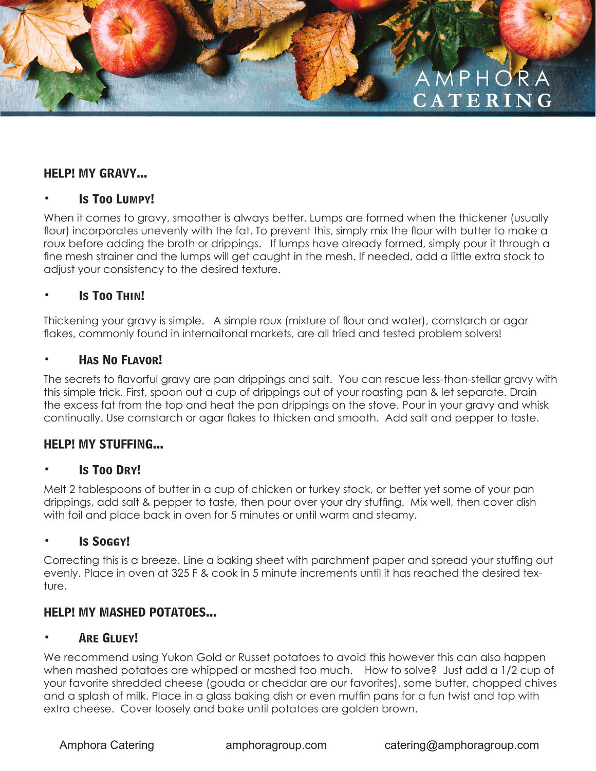# AMPHORA **CATERING**

#### **HELP! MY GRAVY...**

#### **• Is Too Lumpy!**

When it comes to gravy, smoother is always better. Lumps are formed when the thickener (usually flour) incorporates unevenly with the fat. To prevent this, simply mix the flour with butter to make a roux before adding the broth or drippings. If lumps have already formed, simply pour it through a fine mesh strainer and the lumps will get caught in the mesh. If needed, add a little extra stock to adjust your consistency to the desired texture.

#### **• Is Too Thin!**

Thickening your gravy is simple. A simple roux (mixture of flour and water), cornstarch or agar flakes, commonly found in internaitonal markets, are all tried and tested problem solvers!

#### **• Has No Flavor!**

The secrets to flavorful gravy are pan drippings and salt. You can rescue less-than-stellar gravy with this simple trick. First, spoon out a cup of drippings out of your roasting pan & let separate. Drain the excess fat from the top and heat the pan drippings on the stove. Pour in your gravy and whisk continually. Use cornstarch or agar flakes to thicken and smooth. Add salt and pepper to taste.

#### **HELP! MY STUFFING...**

#### **• Is Too Dry!**

Melt 2 tablespoons of butter in a cup of chicken or turkey stock, or better yet some of your pan drippings, add salt & pepper to taste, then pour over your dry stuffing. Mix well, then cover dish with foil and place back in oven for 5 minutes or until warm and steamy.

#### **• Is Soggy!**

Correcting this is a breeze. Line a baking sheet with parchment paper and spread your stuffing out evenly. Place in oven at 325 F & cook in 5 minute increments until it has reached the desired texture.

#### **HELP! MY MASHED POTATOES...**

#### **• Are Gluey!**

We recommend using Yukon Gold or Russet potatoes to avoid this however this can also happen when mashed potatoes are whipped or mashed too much. How to solve? Just add a 1/2 cup of your favorite shredded cheese (gouda or cheddar are our favorites), some butter, chopped chives and a splash of milk. Place in a glass baking dish or even muffin pans for a fun twist and top with extra cheese. Cover loosely and bake until potatoes are golden brown.